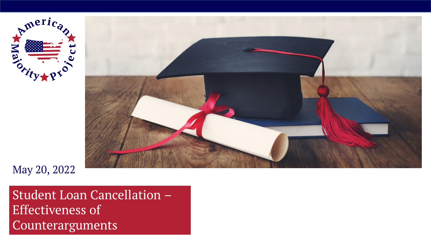



May 20, 2022

Student Loan Cancellation – Effectiveness of Counterarguments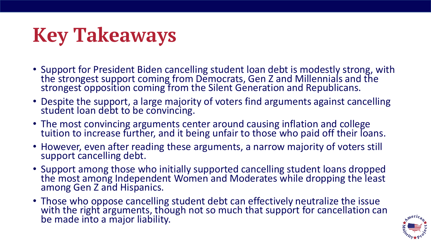# **Key Takeaways**

- Support for President Biden cancelling student loan debt is modestly strong, with the strongest support coming from Democrats, Gen Z and Millennials and the strongest opposition coming from the Silent Generation and Republicans.
- Despite the support, a large majority of voters find arguments against cancelling student loan debt to be convincing.
- The most convincing arguments center around causing inflation and college tuition to increase further, and it being unfair to those who paid off their loans.
- However, even after reading these arguments, a narrow majority of voters still support cancelling debt.
- Support among those who initially supported cancelling student loans dropped the most among Independent Women and Moderates while dropping the least among Gen Z and Hispanics.
- Those who oppose cancelling student debt can effectively neutralize the issue with the right arguments, though not so much that support for cancellation can be made into a major liability.

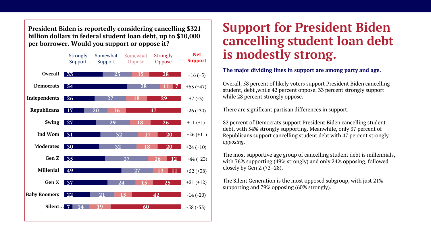**President Biden is reportedly considering cancelling \$321 billion dollars in federal student loan debt, up to \$10,000 per borrower. Would you support or oppose it?** 



## **Support for President Biden cancelling student loan debt is modestly strong.**

#### **The major dividing lines in support are among party and age.**

Overall, 58 percent of likely voters support President Biden cancelling student, debt ,while 42 percent oppose. 33 percent strongly support while 28 percent strongly oppose.

There are significant partisan differences in support.

82 percent of Democrats support President Biden cancelling student debt, with 54% strongly supporting. Meanwhile, only 37 percent of Republicans support cancelling student debt with 47 percent strongly *opposing*.

The most supportive age group of cancelling student debt is millennials, with 76% supporting (49% strongly) and only 24% opposing, followed closely by Gen Z (72–28).

The Silent Generation is the most opposed subgroup, with just 21% supporting and 79% opposing (60% strongly).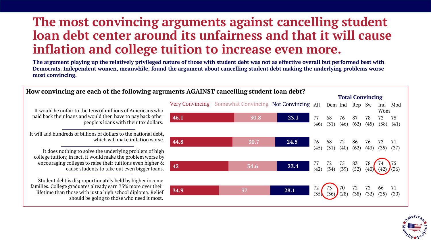## **The most convincing arguments against cancelling student loan debt center around its unfairness and that it will cause inflation and college tuition to increase even more.**

**The argument playing up the relatively privileged nature of those with student debt was not as effective overall but performed best with Democrats. Independent women, meanwhile, found the argument about cancelling student debt making the underlying problems worse most convincing.** 



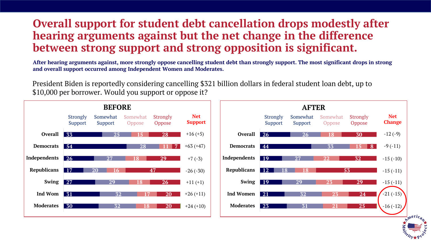## **Overall support for student debt cancellation drops modestly after hearing arguments against but the net change in the difference between strong support and strong opposition is significant.**

**After hearing arguments against, more strongly oppose cancelling student debt than strongly support. The most significant drops in strong and overall support occurred among Independent Women and Moderates.** 

President Biden is reportedly considering cancelling \$321 billion dollars in federal student loan debt, up to \$10,000 per borrower. Would you support or oppose it?

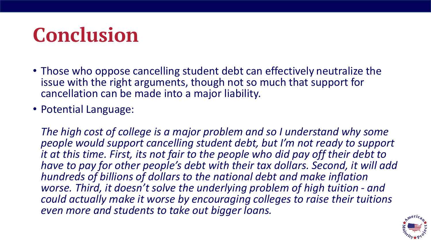# **Conclusion**

- Those who oppose cancelling student debt can effectively neutralize the issue with the right arguments, though not so much that support for cancellation can be made into a major liability.
- Potential Language:

*The high cost of college is a major problem and so I understand why some people would support cancelling student debt, but I'm not ready to support it at this time. First, its not fair to the people who did pay off their debt to have to pay for other people's debt with their tax dollars. Second, it will add hundreds of billions of dollars to the national debt and make inflation worse. Third, it doesn't solve the underlying problem of high tuition - and could actually make it worse by encouraging colleges to raise their tuitions even more and students to take out bigger loans.*